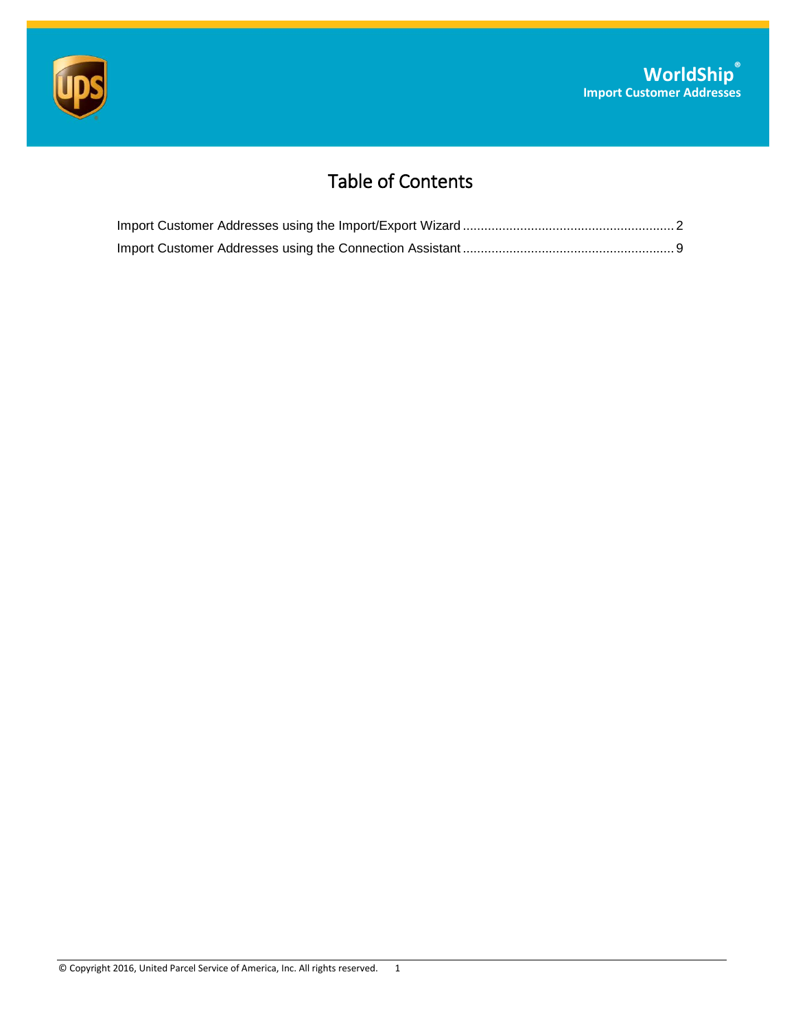

# Table of Contents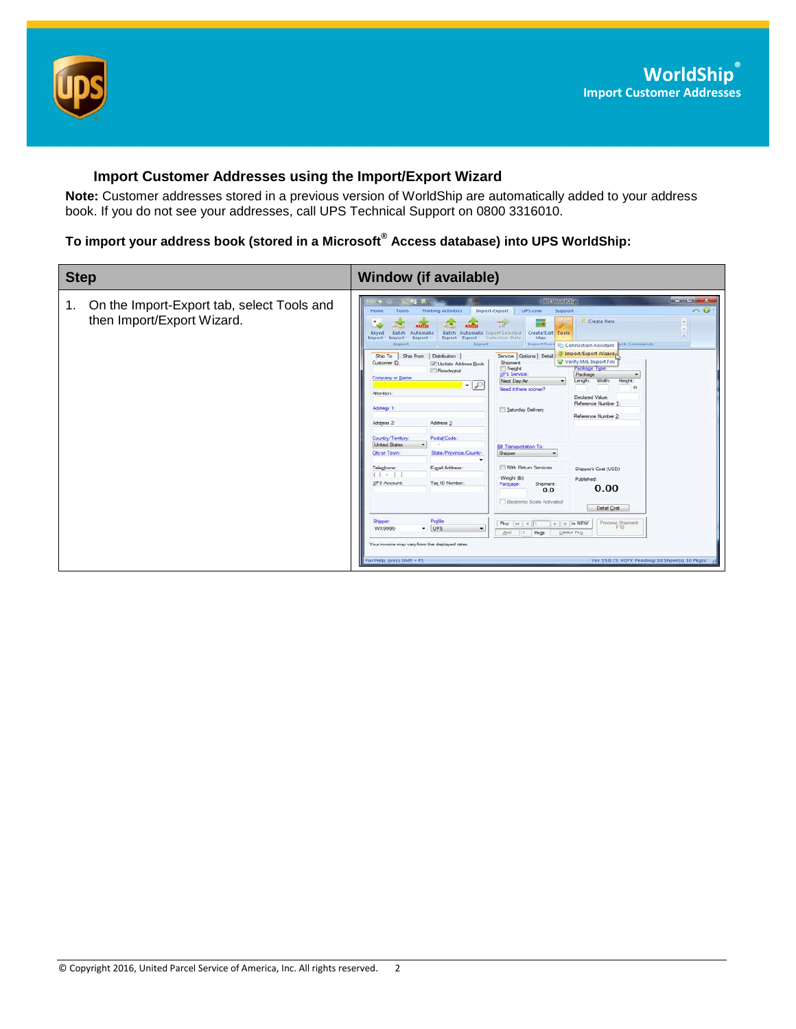

### <span id="page-1-0"></span>**Import Customer Addresses using the Import/Export Wizard**

**Note:** Customer addresses stored in a previous version of WorldShip are automatically added to your address book. If you do not see your addresses, call UPS Technical Support on 0800 3316010.

## **To import your address book (stored in a Microsoft® Access database) into UPS WorldShip:**

| <b>Step</b>                                                                    | <b>Window (if available)</b>                                                                                                                                                                                                                                                                                                                                                                                                                                                                                                                                                                                                                                                                                                                                                                                                                                                                                                                                                                                                                                                                                                                                                                                                                                                                                                                                                                                                                                                                                                                                                                                                                             |
|--------------------------------------------------------------------------------|----------------------------------------------------------------------------------------------------------------------------------------------------------------------------------------------------------------------------------------------------------------------------------------------------------------------------------------------------------------------------------------------------------------------------------------------------------------------------------------------------------------------------------------------------------------------------------------------------------------------------------------------------------------------------------------------------------------------------------------------------------------------------------------------------------------------------------------------------------------------------------------------------------------------------------------------------------------------------------------------------------------------------------------------------------------------------------------------------------------------------------------------------------------------------------------------------------------------------------------------------------------------------------------------------------------------------------------------------------------------------------------------------------------------------------------------------------------------------------------------------------------------------------------------------------------------------------------------------------------------------------------------------------|
| On the Import-Export tab, select Tools and<br>1.<br>then Import/Export Wizard. | <b>Rose Charles</b><br><b>UES WorldSarp</b><br><b>PE 21</b><br>49 15<br>$\wedge$ $\Omega$<br><b>Printing Activities</b><br>Import-Export<br>Home<br><b>UPS.com</b><br>Tools<br>Support<br>Create New<br>Create/Edit Tools<br>Batch<br>Automatic<br>Batch Automatic Export Selected<br>Keyed<br>Map<br>$Import - Import -$<br>$Import -$<br>Export Export - Collection Date<br>Import<br>Export<br><b>Juck Commands</b><br>Import/Exp<br><b>SEL Connection Assistant</b><br>Import/Export Wizard,<br>Service Options   Detail<br>Ship From   Distribution<br>Ship To<br>Verify XML Import File<br>Customer ID:<br><b>Shipment</b><br>V Update Address Book<br>Freight<br>Package Type<br><b>Fill Residential</b><br><b>UPS Service:</b><br>Package<br>Company or Name<br>Next Day Air<br>Width:<br>Length:<br>Height:<br>۰<br>$-10$<br>in.<br>Need it there sconer?<br>Attention:<br>Declared Value:<br>Reference Number 1:<br>Address 1<br>Saturday Delivery<br>Reference Number 2:<br>Address 3<br>Address 2:<br>Postal Code:<br>Country/Territory:<br><b>Unted States</b><br>Bill Transportation To:<br>City or Town:<br>State/Province/County:<br>Shipper<br>۰<br>E-mail Address:<br>With Return Services<br>Teleghone:<br>Shipper's Cost (USD)<br>$(1 - 1)$<br>Weight (b)<br>Published:<br>UPS Account:<br>Tax ID Number:<br>Package:<br>Shipment:<br>0.00<br>0.0<br>Electronic Scale Activated<br>Detail Cost<br>Profile<br><b>Shipper</b><br>Process Shipment<br>$\triangleright$   $\bowtie$   is NEW<br>Pkg:   H   4   1<br>$-$ UPS<br>F10<br>WX9999<br>٠<br>Add<br>Delete Pkg<br>Pkgs<br>  1<br>Your invoice may vary from the displayed rates. |
|                                                                                | For Help, press Shift + F1<br>Ver: 19.0.15 XOFY Pending: 10 Shpmf(s), 10 Pkg(s)                                                                                                                                                                                                                                                                                                                                                                                                                                                                                                                                                                                                                                                                                                                                                                                                                                                                                                                                                                                                                                                                                                                                                                                                                                                                                                                                                                                                                                                                                                                                                                          |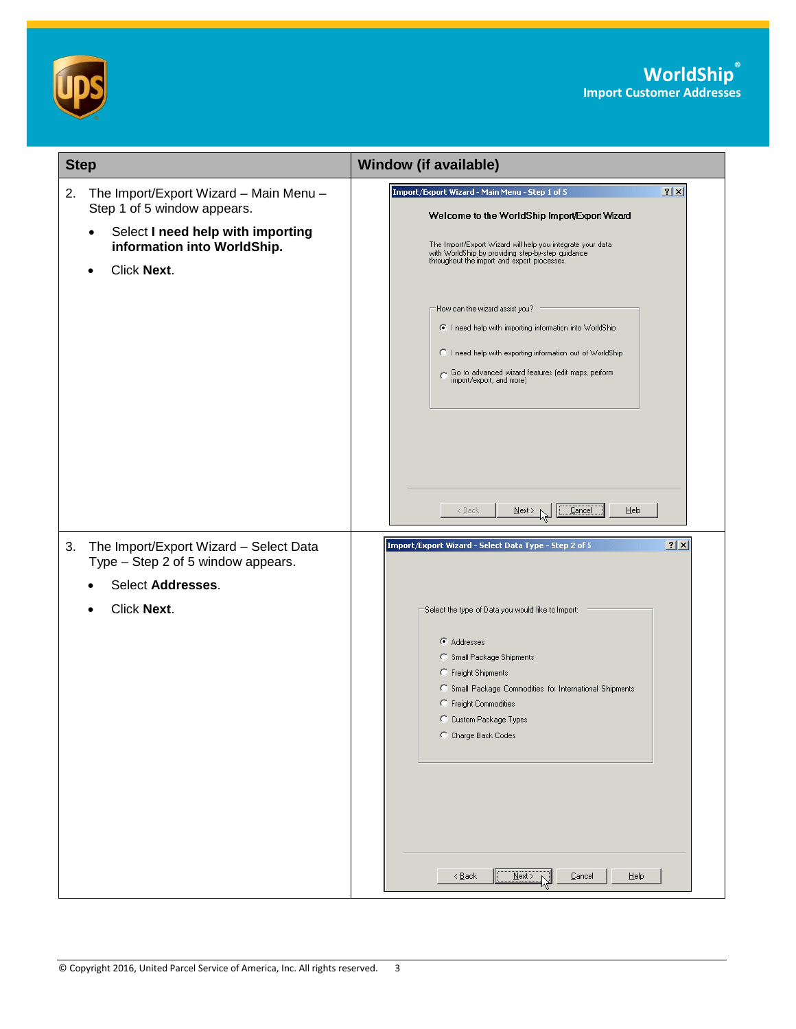

| <b>Step</b>                                                                                                                                                                 | <b>Window (if available)</b>                                                                                                                                                                                                                                                                                                                                                                                                                                                                                                          |
|-----------------------------------------------------------------------------------------------------------------------------------------------------------------------------|---------------------------------------------------------------------------------------------------------------------------------------------------------------------------------------------------------------------------------------------------------------------------------------------------------------------------------------------------------------------------------------------------------------------------------------------------------------------------------------------------------------------------------------|
| The Import/Export Wizard - Main Menu -<br>2.<br>Step 1 of 5 window appears.<br>Select I need help with importing<br>$\bullet$<br>information into WorldShip.<br>Click Next. | $2 \times$<br>Import/Export Wizard - Main Menu - Step 1 of 5<br>Welcome to the WorldShip Import Export Wizard<br>The Import/Export Wizard will help you integrate your data<br>with WorldShip by providing step-by-step guidance<br>throughout the import and export processes.<br>How can the wizard assist you?<br>C I need help with importing information into WorldShip<br>C I need help with exporting information out of WorldShip<br>Go to advanced wizard features (edit maps, perform<br>import/export, and more)<br>< Back |
| The Import/Export Wizard - Select Data<br>3.<br>Type - Step 2 of 5 window appears.<br>Select Addresses.<br>Click Next.                                                      | ? X <br>Import/Export Wizard - Select Data Type - Step 2 of 5<br>Select the type of Data you would like to Import:<br>Addresses<br>Small Package Shipments<br>C Freight Shipments<br>C Small Package Commodities for International Shipments<br>C Freight Commodities<br>C Custom Package Types<br>C Charge Back Codes                                                                                                                                                                                                                |
|                                                                                                                                                                             | Next<br>$\leq$ $\underline{\mathsf{B}}$ ack<br>Cancel<br>Help                                                                                                                                                                                                                                                                                                                                                                                                                                                                         |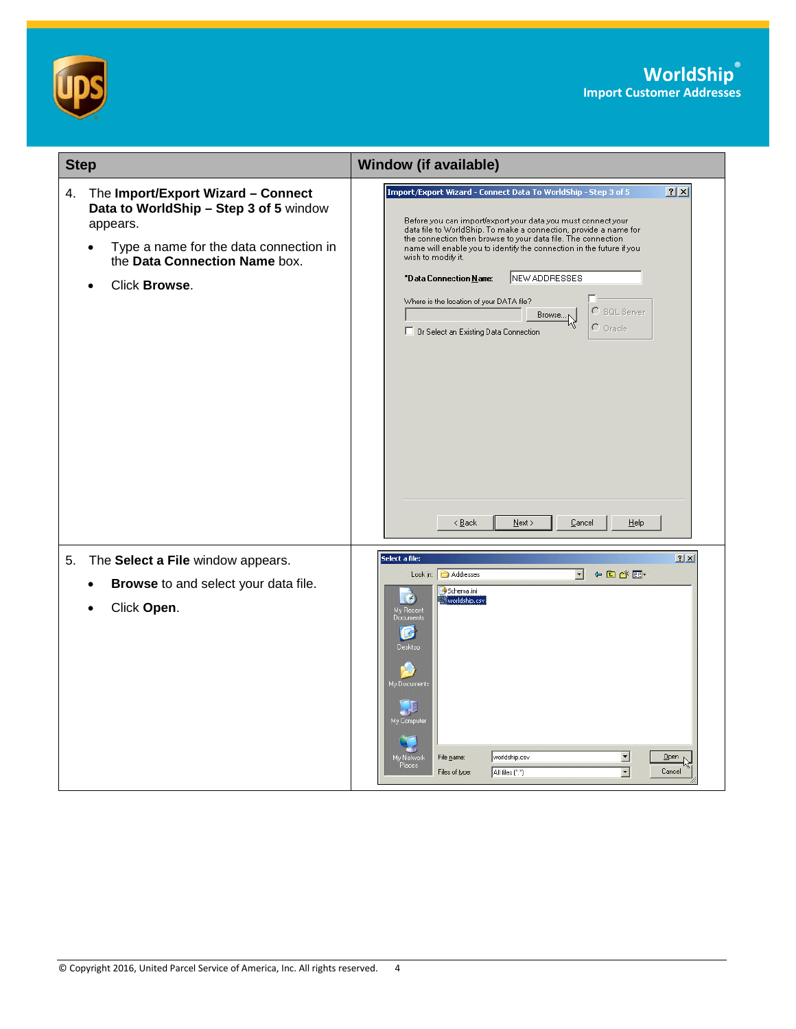



| <b>Step</b>                                                                                                                                                                                | <b>Window (if available)</b>                                                                                                                                                                                                                                                                                                                                                                                                                                                                                                                                                                                                                     |
|--------------------------------------------------------------------------------------------------------------------------------------------------------------------------------------------|--------------------------------------------------------------------------------------------------------------------------------------------------------------------------------------------------------------------------------------------------------------------------------------------------------------------------------------------------------------------------------------------------------------------------------------------------------------------------------------------------------------------------------------------------------------------------------------------------------------------------------------------------|
| The Import/Export Wizard - Connect<br>4.<br>Data to WorldShip - Step 3 of 5 window<br>appears.<br>Type a name for the data connection in<br>the Data Connection Name box.<br>Click Browse. | $2 \times$<br>Import/Export Wizard - Connect Data To WorldShip - Step 3 of 5<br>Before you can import/export your data you must connect your<br>data file to WorldShip. To make a connection, provide a name for<br>the connection then browse to your data file. The connection<br>name will enable you to identify the connection in the future if you<br>wish to modify it.<br>NEW ADDRESSES<br>*Data Connection Name:<br>Where is the location of your DATA file?<br>$\bigcirc$ SQL Server<br>Browse <sub>N</sub><br>$\Gamma$ Oracle<br>□ Or Select an Existing Data Connection<br>$\leq$ $\underline{B}$ ack<br>$N$ ext ><br>Cancel<br>Help |
| The Select a File window appears.<br>5.<br>Browse to and select your data file.<br>Click Open.                                                                                             | Select a file:<br>? X <br>← 白び囲-<br>$\blacktriangledown$<br>Addresses<br>Look in:<br>Schema.ini<br>B<br>worldship.csv<br>My Recent<br>Documents<br>R<br>Desktop<br>My Documents<br>QE<br>My Computer<br>$\blacksquare$<br>worldship.csv<br>My Network<br>Places<br>File name:<br>Open<br>$\blacksquare$<br>Cancel<br>Files of type:<br>All files (".")                                                                                                                                                                                                                                                                                           |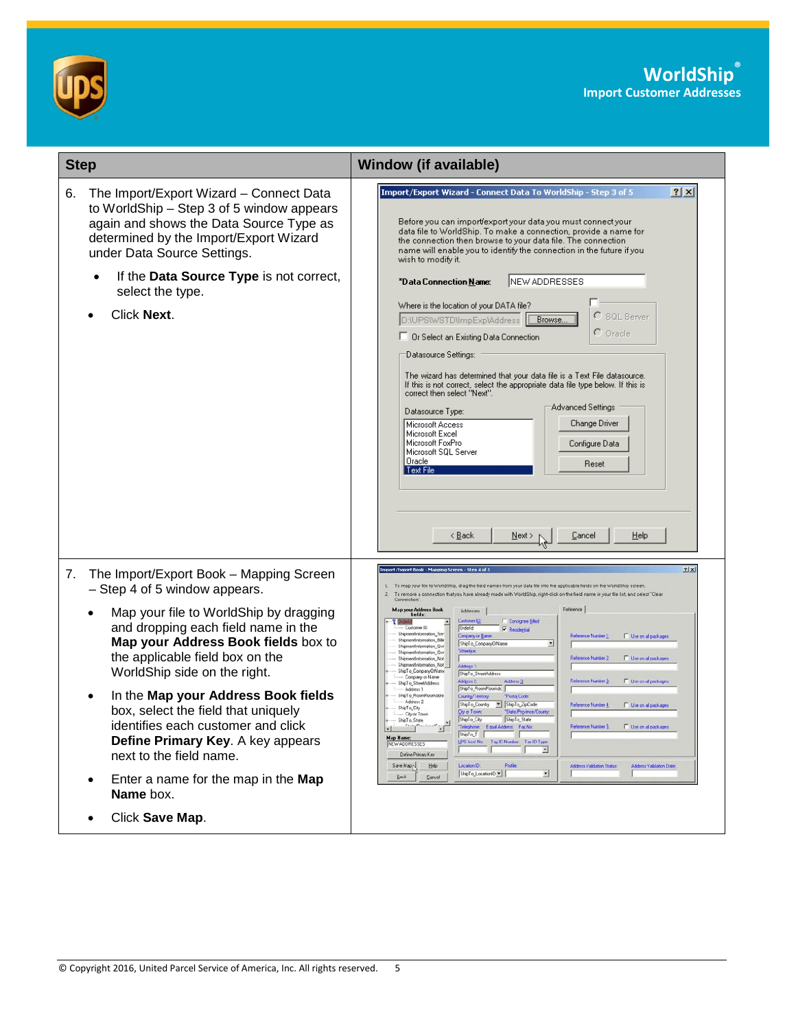



| <b>Step</b>                                                                                                                                                                                                                                                                                                                                                                                                                                                                                                                          | <b>Window (if available)</b>                                                                                                                                                                                                                                                                                                                                                                                                                                                                                                                                                                                                                                                                                                                                                                                                                                                                                                                                                                                                                                                                                                                                                                                                                                                                                                                                                                                                                                                                                                                                                                                                                                      |
|--------------------------------------------------------------------------------------------------------------------------------------------------------------------------------------------------------------------------------------------------------------------------------------------------------------------------------------------------------------------------------------------------------------------------------------------------------------------------------------------------------------------------------------|-------------------------------------------------------------------------------------------------------------------------------------------------------------------------------------------------------------------------------------------------------------------------------------------------------------------------------------------------------------------------------------------------------------------------------------------------------------------------------------------------------------------------------------------------------------------------------------------------------------------------------------------------------------------------------------------------------------------------------------------------------------------------------------------------------------------------------------------------------------------------------------------------------------------------------------------------------------------------------------------------------------------------------------------------------------------------------------------------------------------------------------------------------------------------------------------------------------------------------------------------------------------------------------------------------------------------------------------------------------------------------------------------------------------------------------------------------------------------------------------------------------------------------------------------------------------------------------------------------------------------------------------------------------------|
| 6.<br>The Import/Export Wizard - Connect Data<br>to WorldShip - Step 3 of 5 window appears<br>again and shows the Data Source Type as<br>determined by the Import/Export Wizard<br>under Data Source Settings.<br>If the Data Source Type is not correct,<br>select the type.<br>Click Next.                                                                                                                                                                                                                                         | Import/Export Wizard - Connect Data To WorldShip - Step 3 of 5<br> ? X <br>Before you can import/export your data you must connect your<br>data file to WorldShip. To make a connection, provide a name for<br>the connection then browse to your data file. The connection<br>name will enable you to identify the connection in the future if you<br>wish to modify it.<br>NEW ADDRESSES<br>*Data Connection Name:<br>Where is the location of your DATA file?<br>SQL Server<br>D:\UPS\WSTD\ImpExp\Address<br>Browse<br>$\Gamma$ Oracle<br>□ Or Select an Existing Data Connection<br>Datasource Settings:<br>The wizard has determined that your data file is a Text File datasource.<br>If this is not correct, select the appropriate data file type below. If this is<br>correct then select "Next".<br>Advanced Settings<br>Datasource Type:<br>Change Driver<br>Microsoft Access<br>Microsoft Excel<br>Microsoft FoxPro<br>Configure Data<br>Microsoft SQL Server<br>Oracle<br>Reset<br>Text File<br>< <u>B</u> ack<br>Cancel<br>Help<br>Next >                                                                                                                                                                                                                                                                                                                                                                                                                                                                                                                                                                                                           |
| The Import/Export Book - Mapping Screen<br>7.<br>- Step 4 of 5 window appears.<br>Map your file to WorldShip by dragging<br>and dropping each field name in the<br>Map your Address Book fields box to<br>the applicable field box on the<br>WorldShip side on the right.<br>In the Map your Address Book fields<br>box, select the field that uniquely<br>identifies each customer and click<br>Define Primary Key. A key appears<br>next to the field name.<br>Enter a name for the map in the Map<br>Name box.<br>Click Save Map. | mport/Export Book - Mapping Screen - Step 4 of 5<br>1x<br>To map your file to WorldShip, drag the field names from your data file into the applicable fields on the WorldShip screen<br>To remove a connection that you have already made with WorldShip, right-click on the field name in your file list, and select "Clear<br>Reference<br>Map your Address Book<br>Addmses<br>fields<br><b>F</b> Consignee Billed<br>Customer ID.<br>Customer ID<br>Orderld<br><b>P</b> Residential<br>ShipmentInformation_Sei<br>Company or Name<br>Reference Number 1<br>Use on all packages<br>ShipmentIntormation, Billin<br>ShipTo_CompanyOfName<br>ShipmentInformation Qvr<br>Attention<br>ShipmentInformation_Qvr<br>Reference Number 2<br>Use on all packages<br>ShipmentInformation_Not<br>ShipmentInformation_Not<br>Address 1<br>ShipTo_CompanyOrName<br>ShipTo_StreetAddress<br>Company or Name<br>Reference Number 2<br>Use on all packages<br>Address 2<br>Address 3<br>ShipTo_StreetAddress<br>ShipTo RoomFlooslide<br>Address 1<br>ShipTo_RoomFloosAddre<br>Country/Temtory<br><b>Postal Code</b><br>Address 2<br>ShipTo_Country<br>ShipTo ZipCode<br>Fleference Number 4:<br>IT Use on all packages<br>×<br>ShipTo City<br>City or Town:<br>State/Province/County<br>City or Town<br>ShipTo_City<br>ShipTo_State<br>ShipTo_State<br>E. However all a<br>on Number 5:<br>ShipTo_T<br>Map Name:<br>NEW ADDRESSES<br><b>UPS Acct No.</b><br>Tax ID Number Tax ID Type<br>×<br>Define Primary Key<br>Save Map <sub>p</sub><br>Help<br>Location ID:<br>Profile<br>Address Validation Status<br>Address Validation Date<br>⊡<br>ShipTo_LocationID<br>Back<br>Cancel |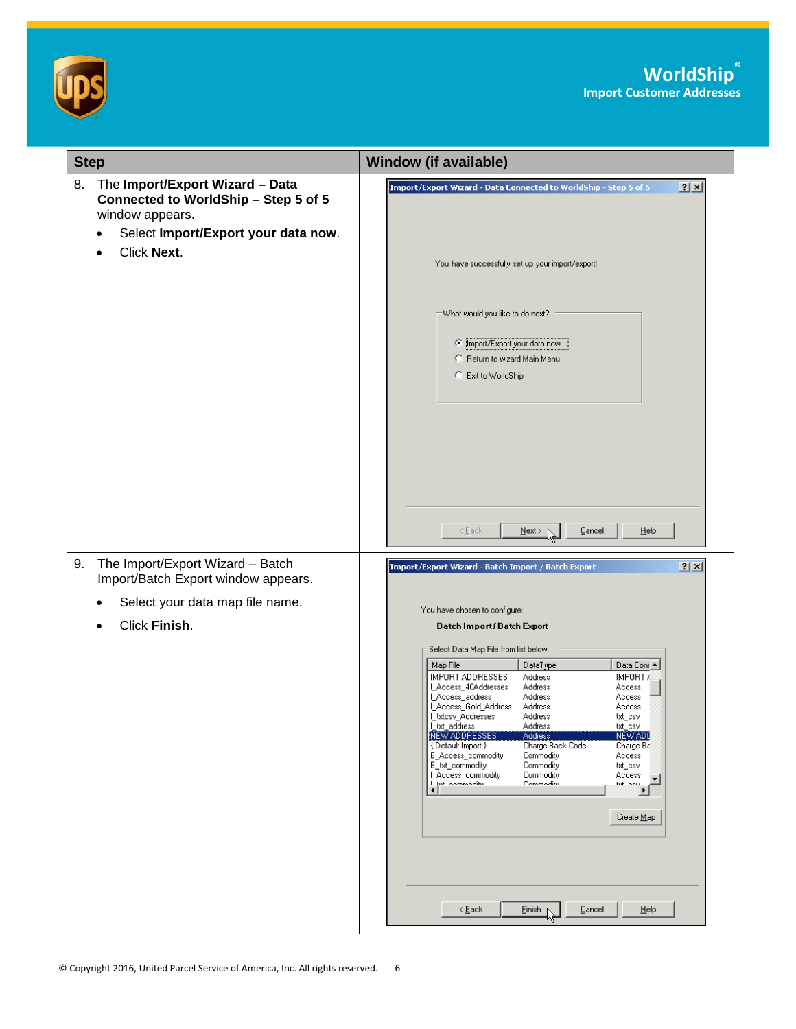



| <b>Step</b>                                                                                                                                            | <b>Window (if available)</b>                                                                                                                                                                                                                                                                                                                                                                                                                                                                                                                                                                                                                                                    |
|--------------------------------------------------------------------------------------------------------------------------------------------------------|---------------------------------------------------------------------------------------------------------------------------------------------------------------------------------------------------------------------------------------------------------------------------------------------------------------------------------------------------------------------------------------------------------------------------------------------------------------------------------------------------------------------------------------------------------------------------------------------------------------------------------------------------------------------------------|
| The Import/Export Wizard - Data<br>8.<br>Connected to WorldShip - Step 5 of 5<br>window appears.<br>Select Import/Export your data now.<br>Click Next. | 2X<br>Import/Export Wizard - Data Connected to WorldShip - Step 5 of 5                                                                                                                                                                                                                                                                                                                                                                                                                                                                                                                                                                                                          |
|                                                                                                                                                        | You have successfully set up your import/export!                                                                                                                                                                                                                                                                                                                                                                                                                                                                                                                                                                                                                                |
|                                                                                                                                                        | What would you like to do next?<br>C Import/Export your data now<br>C Return to wizard Main Menu<br>C Exit to WorldShip                                                                                                                                                                                                                                                                                                                                                                                                                                                                                                                                                         |
| The Import/Export Wizard - Batch<br>9.<br>Import/Batch Export window appears.                                                                          | < Back<br>Cancel<br>$N$ ext > r<br>Help<br>2x<br>Import/Export Wizard - Batch Import / Batch Export                                                                                                                                                                                                                                                                                                                                                                                                                                                                                                                                                                             |
| Select your data map file name.                                                                                                                        | You have chosen to configure:                                                                                                                                                                                                                                                                                                                                                                                                                                                                                                                                                                                                                                                   |
| Click Finish.                                                                                                                                          | Batch Import / Batch Export                                                                                                                                                                                                                                                                                                                                                                                                                                                                                                                                                                                                                                                     |
|                                                                                                                                                        | Select Data Map File from list below:<br>Map File<br>DataType<br>Data Conr∧<br><b>IMPORT ADDRESSES</b><br>Address<br>IMPORT A<br>I_Access_40Addresses<br>Address<br>Access<br>LAccess_address<br>Address<br>Access<br>L_Access_Gold_Address<br>Address<br>Access<br>I_txtcsv_Addresses<br>Address<br>txt_csv<br>l_txt_address<br>Address<br>txt_csv<br>NEW ADDRESSES<br>Address<br>NEW ADI<br>{ Default Import }<br>Charge Back Code<br>Charge Ba<br>E_Access_commodity<br>Commodity<br>Access<br>E_txt_commodity<br>Commodity<br>txt_csv<br>L_Access_commodity<br>Commodity<br>Access<br>Commodity<br>تتطلب ممتحمد عبط ا<br>hik oou<br>$\blacktriangleleft$<br>٠<br>Create Map |
|                                                                                                                                                        | Einish<br>< <u>B</u> ack<br>Cancel<br><b>Help</b><br>۸Ļ                                                                                                                                                                                                                                                                                                                                                                                                                                                                                                                                                                                                                         |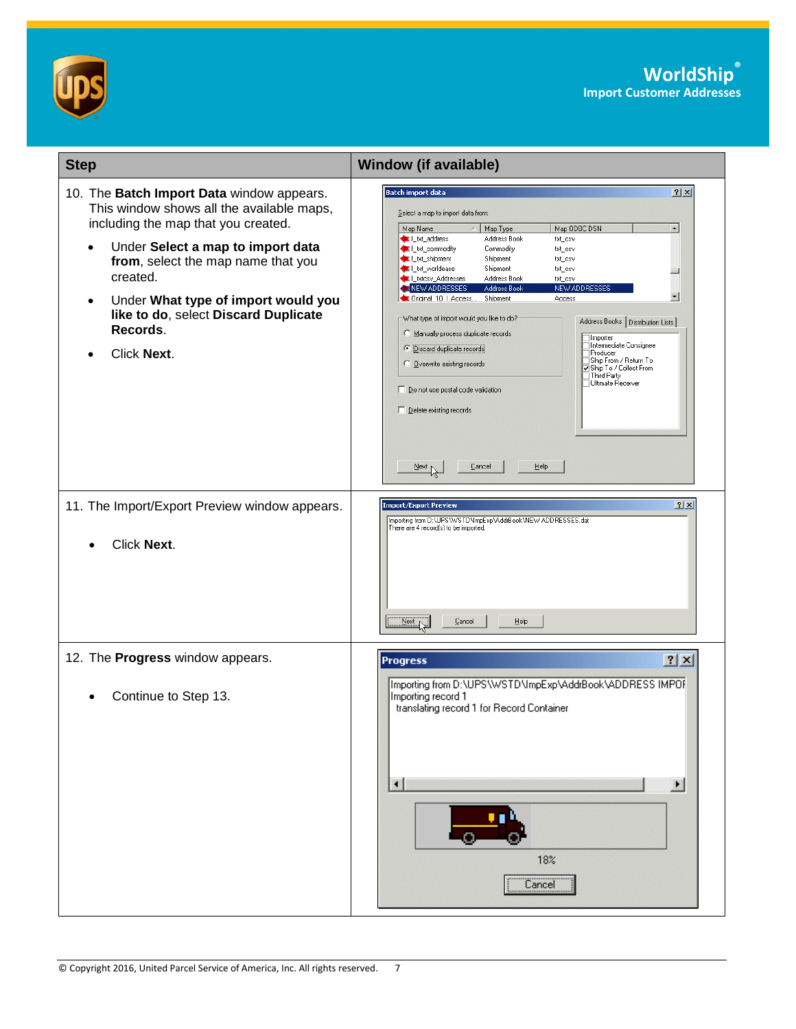



| <b>Step</b>                                                                                                                                                                                                                                                                                                                                              | <b>Window (if available)</b>                                                                                                                                                                                                                                                                                                                                                                                                                                                                                                                                                                                                                                                                                                                                                                                                                                                                                                    |
|----------------------------------------------------------------------------------------------------------------------------------------------------------------------------------------------------------------------------------------------------------------------------------------------------------------------------------------------------------|---------------------------------------------------------------------------------------------------------------------------------------------------------------------------------------------------------------------------------------------------------------------------------------------------------------------------------------------------------------------------------------------------------------------------------------------------------------------------------------------------------------------------------------------------------------------------------------------------------------------------------------------------------------------------------------------------------------------------------------------------------------------------------------------------------------------------------------------------------------------------------------------------------------------------------|
| 10. The Batch Import Data window appears.<br>This window shows all the available maps,<br>including the map that you created.<br>Under Select a map to import data<br>$\bullet$<br>from, select the map name that you<br>created.<br>Under What type of import would you<br>$\bullet$<br>like to do, select Discard Duplicate<br>Records.<br>Click Next. | <b>Batch import data</b><br>? X <br>Select a map to import data from:<br>Map ODBC DSN<br>$\blacktriangle$<br>Map Name<br>Map Type<br>Lixt_address<br>Address Book<br>txt_csv<br>List_commodity<br>Commodity<br>txt_csv<br>Ltxt_shipment<br>Shipment<br>txt_csv<br>Lixt_worldease<br>Shipment<br>txt_csv<br>Lixtosy_Addresses<br>Address Book<br>txt_csv<br>NEW ADDRESSES<br>Address Book<br><b>NEW ADDRESSES</b><br>$\mathbf{r}$<br>Criginal 10   Access<br>Shipment<br>Access<br>What type of import would you like to do?<br>Address Books   Distribution Lists  <br>Manually process duplicate records<br>∃Importer<br>∏Intermediate Consignee<br><b>C</b> Discard duplicate records<br>Producer<br>∏Ship From / Return To<br>O Overwrite existing records<br>Ship To / Collect From<br>Third Party<br>□Ultimate Receiver<br>□ Do not use postal code validation<br>Delete existing records<br>Cancel<br>Help<br>$N$ ext $N$ |
| 11. The Import/Export Preview window appears.<br>Click Next.                                                                                                                                                                                                                                                                                             | $2 \times$<br><b>Import/Export Preview</b><br>Importing from D:\UPS\WSTD\ImpExp\AddrBook\NEW ADDRESSES.dat<br>There are 4 record(s) to be imported.<br>Help<br>Next<br>Cancel                                                                                                                                                                                                                                                                                                                                                                                                                                                                                                                                                                                                                                                                                                                                                   |
| 12. The Progress window appears.<br>Continue to Step 13.                                                                                                                                                                                                                                                                                                 | ? X <br><b>Progress</b><br>Importing from D:\UPS\WSTD\ImpExp\AddrBook\ADDRESS IMPOF<br>Importing record 1<br>translating record 1 for Record Container<br>$\blacksquare$<br>$\blacktriangleright$<br>18%<br>Cancel                                                                                                                                                                                                                                                                                                                                                                                                                                                                                                                                                                                                                                                                                                              |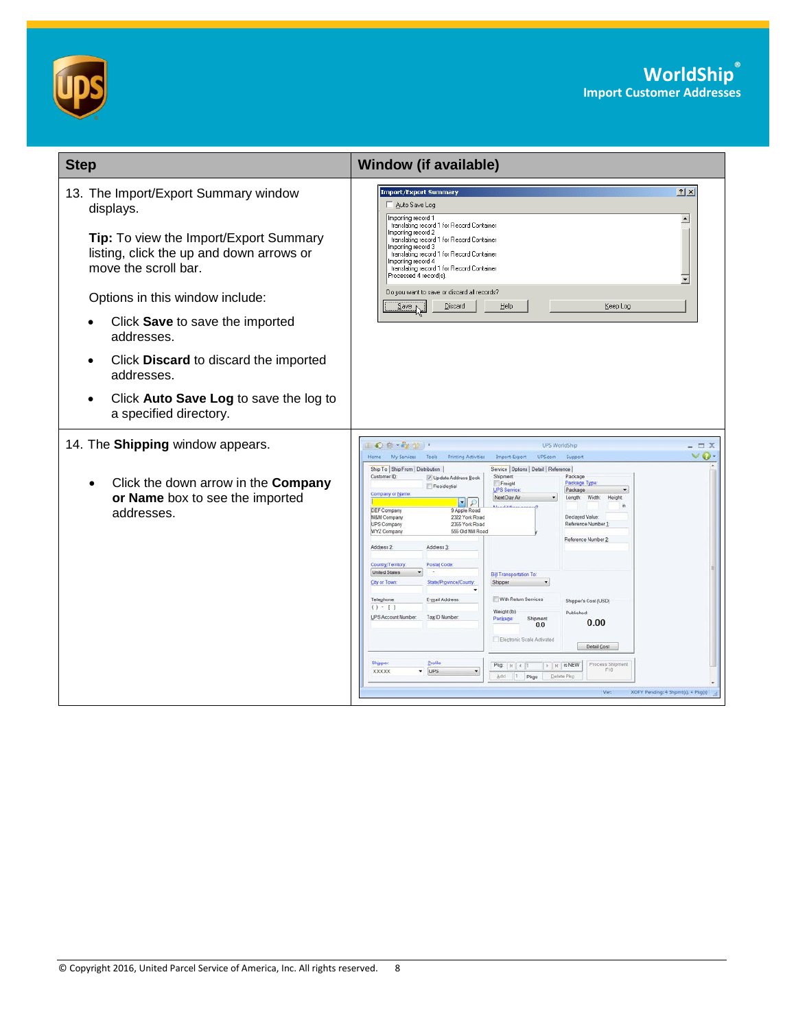



| <b>Window (if available)</b><br> 2 x <br>Import/Export Summary<br>Auto Save Log<br>Importing record 1<br>$\blacktriangle$<br>translating record 1 for Record Container<br>Importing record 2<br>translating record 1 for Record Container<br>Importing record 3<br>translating record 1 for Record Container<br>Importing record 4<br>translating record 1 for Record Container<br>Processed 4 record(s).<br>▾<br>Do you want to save or discard all records?<br>Discard<br>Help<br>$S$ ave<br>Keep Log                                                                                                                                                                                                                                                                                                                                                                                                                                                                                                                                                                                                                                                                                                                                                                                                                                                 |
|---------------------------------------------------------------------------------------------------------------------------------------------------------------------------------------------------------------------------------------------------------------------------------------------------------------------------------------------------------------------------------------------------------------------------------------------------------------------------------------------------------------------------------------------------------------------------------------------------------------------------------------------------------------------------------------------------------------------------------------------------------------------------------------------------------------------------------------------------------------------------------------------------------------------------------------------------------------------------------------------------------------------------------------------------------------------------------------------------------------------------------------------------------------------------------------------------------------------------------------------------------------------------------------------------------------------------------------------------------|
|                                                                                                                                                                                                                                                                                                                                                                                                                                                                                                                                                                                                                                                                                                                                                                                                                                                                                                                                                                                                                                                                                                                                                                                                                                                                                                                                                         |
| $\mathbf{O}\left(\mathbf{0}+\mathbf{E}_{\mathbf{Z}}\right)\mathbf{U}$<br><b>UPS WorldShip</b><br>$\Box$ X<br>v O<br>Home My Services Tools<br>Printing Activities<br>Import-Export<br>UPS.com<br>Support<br>Ship To Ship From   Distribution  <br>Service   Options   Detail   Reference  <br>Customer ID:<br>Shipment<br>Package<br>V Update Address Book<br>Package Type<br>Freight<br>Residential<br>UPS Service:<br>Package<br>Company or Name<br>Next Day Air<br>Width:<br>Length<br><b>Height</b><br>지오<br>DEF Company<br>9 Apple Road<br>2322 York Road<br>M&M Company<br>Declared Value<br><b>UPS Company</b><br>2355 York Road<br>Reference Number 1<br>555 Old Mill Road<br>WYZ Company<br>Reference Number 2<br>Address 3<br>Address 2<br>Postal Code:<br>Country/Territory:<br><b>United States</b><br><b>Bill Transportation To:</b><br>City or Town:<br>State/Province/County<br>Shipper<br>With Return Services<br>Teleghone:<br>E-mail Address:<br>Shipper's Cost (USD)<br>$( ) - [ ]$<br>Weight (lb)<br>Published:<br><b>UPS Account Number</b><br>Tax ID Number<br>Shipment<br>Package<br>0.00<br>0.0<br>Electronic Scale Activated<br>Detail Cost<br>Shipper<br>Profile<br>Process Shipment<br>$\rightarrow$ $\mid$ $\mid$ is NEW<br>$Pkg$ $  $ $  $<br>Fin<br><b>XXXXX</b><br>$\nu$ UPS<br>Add<br>$ 1\rangle$<br>Delete Pkg<br>Pkgs |
|                                                                                                                                                                                                                                                                                                                                                                                                                                                                                                                                                                                                                                                                                                                                                                                                                                                                                                                                                                                                                                                                                                                                                                                                                                                                                                                                                         |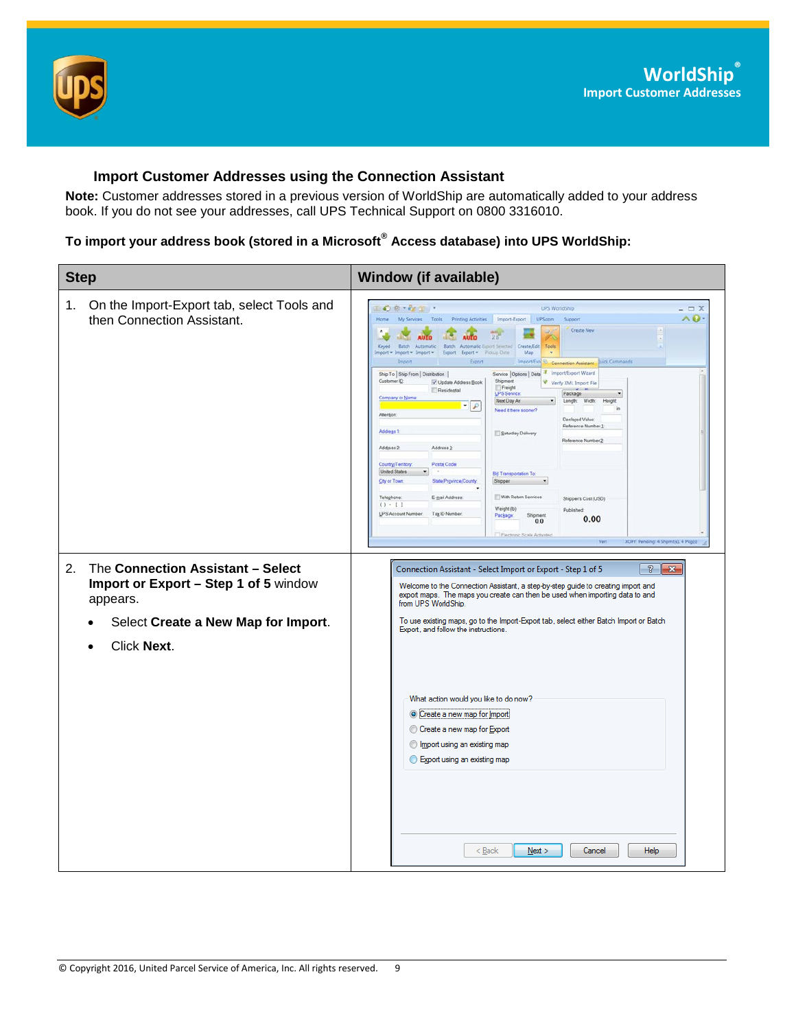

### <span id="page-8-0"></span>**Import Customer Addresses using the Connection Assistant**

**Note:** Customer addresses stored in a previous version of WorldShip are automatically added to your address book. If you do not see your addresses, call UPS Technical Support on 0800 3316010.

## **To import your address book (stored in a Microsoft® Access database) into UPS WorldShip:**

| <b>Step</b>                                                                                                                         | <b>Window (if available)</b>                                                                                                                                                                                                                                                                                                                                                                                                                                                                                                                                                                                                                                                                                                                                                                                                                                                                                                                                                                                                                                                                                                                                                                                                                                                                                                                                                                                                  |
|-------------------------------------------------------------------------------------------------------------------------------------|-------------------------------------------------------------------------------------------------------------------------------------------------------------------------------------------------------------------------------------------------------------------------------------------------------------------------------------------------------------------------------------------------------------------------------------------------------------------------------------------------------------------------------------------------------------------------------------------------------------------------------------------------------------------------------------------------------------------------------------------------------------------------------------------------------------------------------------------------------------------------------------------------------------------------------------------------------------------------------------------------------------------------------------------------------------------------------------------------------------------------------------------------------------------------------------------------------------------------------------------------------------------------------------------------------------------------------------------------------------------------------------------------------------------------------|
| On the Import-Export tab, select Tools and<br>1.<br>then Connection Assistant.                                                      | $\Box$ ce $\cdot$ $\cdot$ $\frac{1}{2}$ ) $\cdot$<br><b>UPS WorldShip</b><br>$\equiv$ $x$<br>$\land$ 0<br>My Services Tools<br>Printing Activities Import-Export<br><b>UPS.com</b><br>Support<br>Create New<br>AUTO<br>Keyed Batch Automatic Batch Automatic Emont Selected<br>Create/Edit<br>Tools<br>Import = Import = Import = Export Export = Ficiuio Date<br>Mag<br><b>Import</b><br><b>Export</b><br>Import/Expl 92<br>uick Commands<br>Connection Assistant<br>T Import/Export Wizard<br>Service Options Deta<br>Ship To Ship From Distribution<br>Customer ID<br>Shipment<br>V Update Address Book<br>Verify XML Import File<br>Freight<br>Residental<br>UPS Service:<br>Package<br>Company or Name<br>Next Day Air<br>Length: Width:<br>Height<br>$\cdot$ $\rho$<br>in<br>Need it there sooner?<br>Attention:<br>Declared Value:<br>Reference Number<br>Address 1<br>Saturday Delivery<br>Reference Number 2<br>Address 3<br>Address 2<br>Postal Code<br>Country/Territory.<br><b>United States</b><br><b>B@ Transportation To</b><br><b>City or Town</b><br>State/Province/County.<br>Shipper<br>$\overline{\phantom{a}}$<br>With Return Services<br>Teleghone:<br>E-mail Address:<br>Shipper's Cost (USD)<br>$(1 - 1)$<br>Weight (lb)<br>Published<br><b>UPS Account Number</b><br>Tag ID Number<br>Shipment<br>Package:<br>0.00<br>0.0<br>Flactonic Scale Activitied<br>XOFY Pending: 4 Shpmt(s), 4 Pkg(s)<br>Ven |
| The Connection Assistant - Select<br>2.<br>Import or Export - Step 1 of 5 window<br>appears.<br>Select Create a New Map for Import. | P<br>Connection Assistant - Select Import or Export - Step 1 of 5<br>$\mathbf{x}$<br>Welcome to the Connection Assistant, a step-by-step guide to creating import and<br>export maps. The maps you create can then be used when importing data to and<br>from UPS WorldShip.<br>To use existing maps, go to the Import-Export tab, select either Batch Import or Batch<br>Export, and follow the instructions.                                                                                                                                                                                                                                                                                                                                                                                                                                                                                                                                                                                                                                                                                                                                                                                                                                                                                                                                                                                                                |
| Click Next.                                                                                                                         | What action would you like to do now?<br>Create a new map for Import<br>Create a new map for Export<br>⊙<br>Import using an existing map<br>Export using an existing map<br>$<$ Back<br>$N$ ext ><br>Cancel<br>Help                                                                                                                                                                                                                                                                                                                                                                                                                                                                                                                                                                                                                                                                                                                                                                                                                                                                                                                                                                                                                                                                                                                                                                                                           |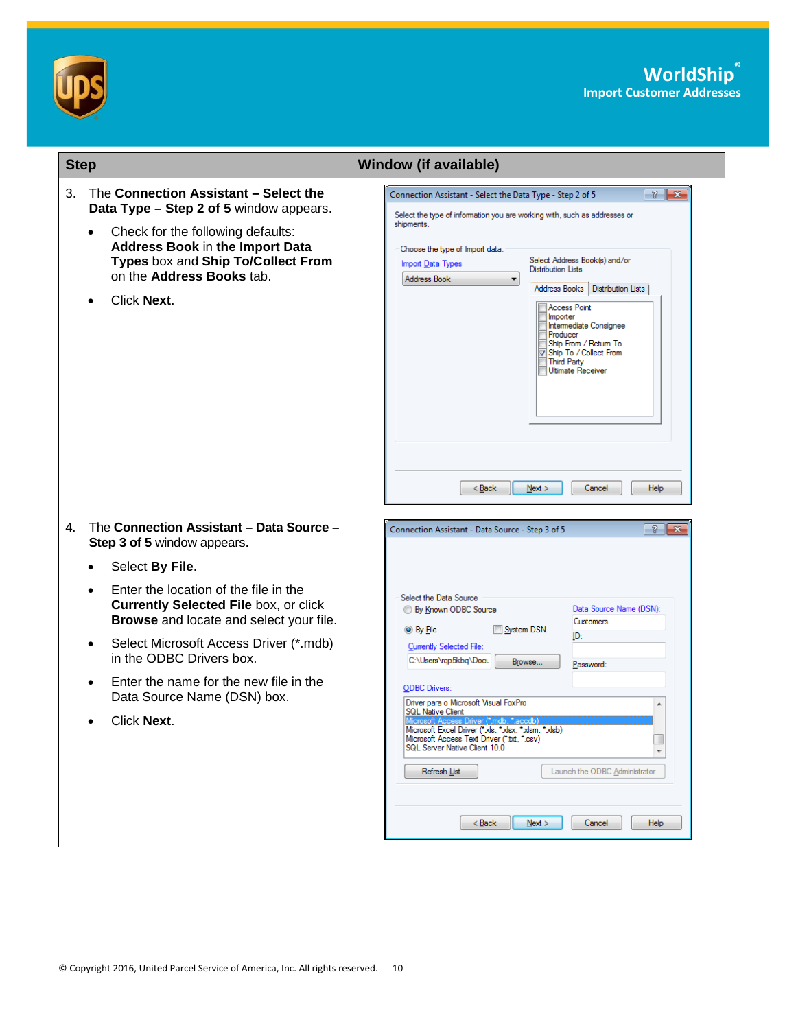



| <b>Step</b>                                                                                                                                                                                                                                                                                                                                                           | <b>Window (if available)</b>                                                                                                                                                                                                                                                                                                                                                                                                                                                                                                                                                    |
|-----------------------------------------------------------------------------------------------------------------------------------------------------------------------------------------------------------------------------------------------------------------------------------------------------------------------------------------------------------------------|---------------------------------------------------------------------------------------------------------------------------------------------------------------------------------------------------------------------------------------------------------------------------------------------------------------------------------------------------------------------------------------------------------------------------------------------------------------------------------------------------------------------------------------------------------------------------------|
| The Connection Assistant - Select the<br>3.<br>Data Type - Step 2 of 5 window appears.<br>Check for the following defaults:<br>Address Book in the Import Data<br>Types box and Ship To/Collect From<br>on the Address Books tab.<br>Click Next.<br>$\bullet$                                                                                                         | $\frac{3}{2}$ $\mathbf{x}$<br>Connection Assistant - Select the Data Type - Step 2 of 5<br>Select the type of information you are working with, such as addresses or<br>shipments.<br>Choose the type of Import data.<br>Select Address Book(s) and/or<br>Import Data Types<br><b>Distribution Lists</b><br>Address Book<br>▼<br>Address Books<br>Distribution Lists<br><b>Access Point</b><br>Importer<br>Intermediate Consignee<br>Producer<br>Ship From / Return To<br>Ship To / Collect From<br><b>Third Party</b><br>Ultimate Receiver<br>< Back<br>Next<br>Cancel<br>Help |
| The Connection Assistant - Data Source -<br>4.<br>Step 3 of 5 window appears.                                                                                                                                                                                                                                                                                         | $\frac{3}{8}$ $\frac{1}{8}$<br>Connection Assistant - Data Source - Step 3 of 5                                                                                                                                                                                                                                                                                                                                                                                                                                                                                                 |
| Select By File.<br>$\bullet$<br>Enter the location of the file in the<br>$\bullet$<br><b>Currently Selected File box, or click</b><br>Browse and locate and select your file.<br>Select Microsoft Access Driver (*.mdb)<br>$\bullet$<br>in the ODBC Drivers box.<br>Enter the name for the new file in the<br>$\bullet$<br>Data Source Name (DSN) box.<br>Click Next. | Select the Data Source<br>Data Source Name (DSN):<br><b>By Known ODBC Source</b><br>Customers<br>System DSN<br>$\odot$ By File<br>ID:<br>Currently Selected File:<br>C:\Users\rap5kbq\Docu<br>Browse<br>Password:<br><b>ODBC</b> Drivers:<br>Driver para o Microsoft Visual FoxPro<br>▲<br><b>SQL Native Client</b><br>Microsoft Excel Driver ("xls, "xlsx, "xlsm, "xlsb)<br>Microsoft Access Text Driver (".txt, ".csv)<br>SQL Server Native Client 10.0<br>$\overline{\phantom{a}}$<br>Refresh List<br>Launch the ODBC Administrator<br>$Back$<br>$N$ ext ><br>Cancel<br>Help |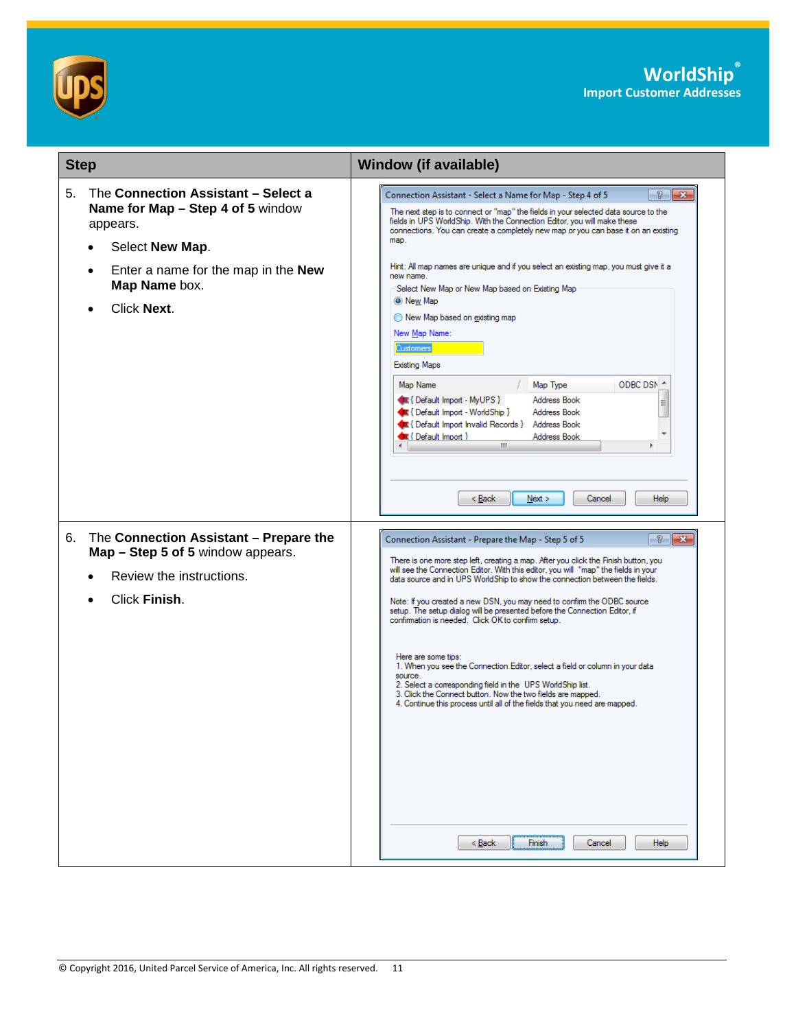



| <b>Step</b>                                                                                                                                                                                                    | <b>Window (if available)</b>                                                                                                                                                                                                                                                                                                                                                                                                                                                                                                                                                                                                                                                                                                                                                                                                                                                                                                  |
|----------------------------------------------------------------------------------------------------------------------------------------------------------------------------------------------------------------|-------------------------------------------------------------------------------------------------------------------------------------------------------------------------------------------------------------------------------------------------------------------------------------------------------------------------------------------------------------------------------------------------------------------------------------------------------------------------------------------------------------------------------------------------------------------------------------------------------------------------------------------------------------------------------------------------------------------------------------------------------------------------------------------------------------------------------------------------------------------------------------------------------------------------------|
| 5.<br>The Connection Assistant - Select a<br>Name for Map - Step 4 of 5 window<br>appears.<br>Select New Map.<br>$\bullet$<br>Enter a name for the map in the New<br>$\bullet$<br>Map Name box.<br>Click Next. | Connection Assistant - Select a Name for Map - Step 4 of 5<br>P.<br>$\mathbf{x}$<br>The next step is to connect or "map" the fields in your selected data source to the<br>fields in UPS WorldShip. With the Connection Editor, you will make these<br>connections. You can create a completely new map or you can base it on an existing<br>map.<br>Hint: All map names are unique and if you select an existing map, you must give it a<br>new name.<br>Select New Map or New Map based on Existing Map<br>O New Map<br>New Map based on existing map<br>New Map Name:<br><b>Customers</b><br><b>Existing Maps</b><br>ODBC DSN 4<br>Map Name<br>Map Type<br>Address Book<br>Default Import - MyUPS }<br>티<br><b>Address Book</b><br>Default Import - WorldShip }<br>Default Import Invalid Records } Address Book<br>$\bigoplus$ { Default Import }<br>Address Book<br>m.<br>< Back<br>Next<br>Cancel<br>Help               |
| The Connection Assistant - Prepare the<br>6.<br>Map - Step 5 of 5 window appears.<br>Review the instructions.<br>Click Finish.                                                                                 | $\frac{2}{3}$<br>Connection Assistant - Prepare the Map - Step 5 of 5<br>$-23$<br>There is one more step left, creating a map. After you click the Finish button, you<br>will see the Connection Editor. With this editor, you will "map" the fields in your<br>data source and in UPS WorldShip to show the connection between the fields.<br>Note: If you created a new DSN, you may need to confirm the ODBC source<br>setup. The setup dialog will be presented before the Connection Editor, if<br>confirmation is needed. Click OK to confirm setup.<br>Here are some tips:<br>1. When you see the Connection Editor, select a field or column in your data<br>source.<br>2. Select a corresponding field in the UPS WorldShip list.<br>3. Click the Connect button. Now the two fields are mapped.<br>4. Continue this process until all of the fields that you need are mapped.<br>$Back$<br>Finish<br>Cancel<br>Help |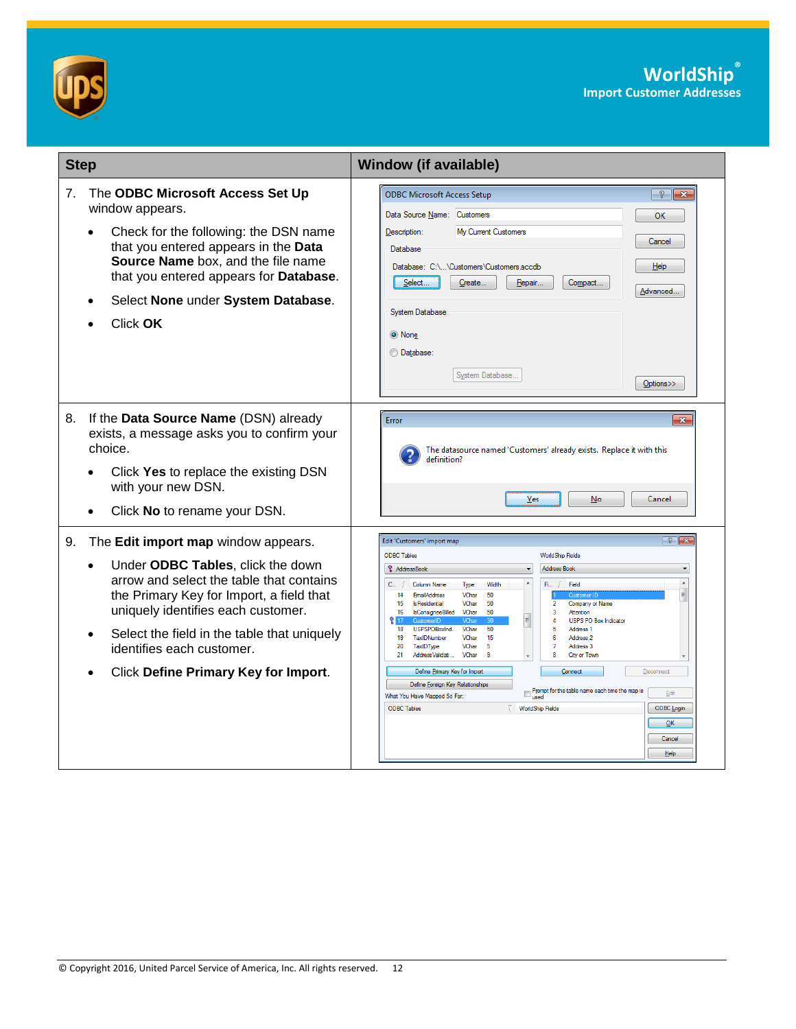



| <b>Step</b> |                                                                                                                                                                                                                                                                                                                                                                   | <b>Window (if available)</b>                                                                                                                                                                                                                                                                                                                                                                                                                                                                                                                                                                                                                                                                                                                                                                                                                                                                                                                                                                                                                                                      |
|-------------|-------------------------------------------------------------------------------------------------------------------------------------------------------------------------------------------------------------------------------------------------------------------------------------------------------------------------------------------------------------------|-----------------------------------------------------------------------------------------------------------------------------------------------------------------------------------------------------------------------------------------------------------------------------------------------------------------------------------------------------------------------------------------------------------------------------------------------------------------------------------------------------------------------------------------------------------------------------------------------------------------------------------------------------------------------------------------------------------------------------------------------------------------------------------------------------------------------------------------------------------------------------------------------------------------------------------------------------------------------------------------------------------------------------------------------------------------------------------|
| 7.          | The ODBC Microsoft Access Set Up<br>window appears.<br>Check for the following: the DSN name<br>$\bullet$<br>that you entered appears in the Data<br>Source Name box, and the file name<br>that you entered appears for Database.<br>Select None under System Database.<br>$\bullet$<br>Click OK                                                                  | <b>ODBC Microsoft Access Setup</b><br>$\frac{1}{2}$ $\mathbf{x}$<br>Data Source Name: Customers<br>OK<br>My Current Customers<br>Description:<br>Cancel<br>Database<br>Database: C:\\Customers\Customers.accdb<br>$He$ <sub>lp</sub><br>Select<br>Create<br>Repair<br>Compact<br>Advanced<br>System Database<br>O None<br><b>O</b> Database:<br>System Database.<br>Options>>                                                                                                                                                                                                                                                                                                                                                                                                                                                                                                                                                                                                                                                                                                     |
| 8.          | If the Data Source Name (DSN) already<br>exists, a message asks you to confirm your<br>choice.<br>Click Yes to replace the existing DSN<br>$\bullet$<br>with your new DSN.<br>Click No to rename your DSN.<br>$\bullet$                                                                                                                                           | $\overline{\mathbf{x}}$<br>Error<br>The datasource named 'Customers' already exists. Replace it with this<br>definition?<br>Yes<br>$No$<br>Cancel                                                                                                                                                                                                                                                                                                                                                                                                                                                                                                                                                                                                                                                                                                                                                                                                                                                                                                                                 |
| 9.          | The Edit import map window appears.<br>Under ODBC Tables, click the down<br>$\bullet$<br>arrow and select the table that contains<br>the Primary Key for Import, a field that<br>uniquely identifies each customer.<br>Select the field in the table that uniquely<br>$\bullet$<br>identifies each customer.<br>Click Define Primary Key for Import.<br>$\bullet$ | $\frac{1}{2}$ $\overline{\mathbf{x}}$<br>Edit 'Customers' import map<br><b>ODBC Tables</b><br><b>WorldShip Fields</b><br><b>AddressBook</b><br><b>Address Book</b><br>$\blacktriangle$<br>Width<br>$\mathsf{Fi}_{\mathsf{m}} \neq$<br>Field<br>Column Name<br>Type<br>$\equiv$<br><b>EmailAddress</b><br>VChar<br>50<br>14<br>15<br><b>IsResidential</b><br>VChar<br>50<br>$\overline{2}$<br>Company or Name<br>VChar<br>50<br>16<br><b>IsConsigneeBilled</b><br>3<br>Attention<br>$\Delta$<br><b>USPS PO Box Indicator</b><br>/Cha<br>50<br>18<br>USPSPOBoxInd<br>VChar<br>-5<br>Address <sub>1</sub><br>19<br>TaxIDNumber<br>VChar<br>15<br>6<br>Address <sub>2</sub><br>VChar<br>5<br>20<br>TaxIDType<br>7<br>Address 3<br>21<br>AddressValidati<br>VChar<br>9<br>8<br>City or Town<br>Define Primary Key for Import<br>Connect<br>Disconnect<br>Define Foreign Key Relationships<br>$\Box$ Prompt for the table name each time the map is used<br>Edit<br>What You Have Mapped So Far:<br>ODBC Login<br><b>ODBC Tables</b><br><b>WorldShip Fields</b><br>QK<br>Cancel<br>Help |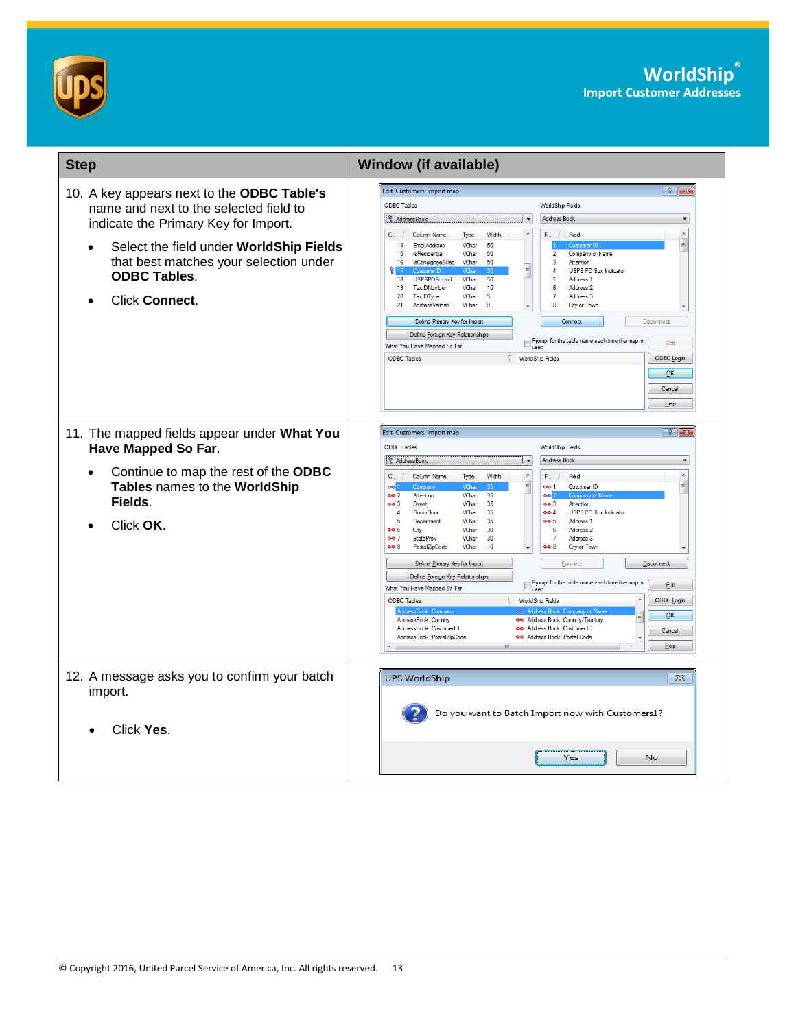



| <b>Step</b>                                                                                                                                                                                                                                                             | <b>Window (if available)</b>                                                                                                                                                                                                                                                                                                                                                                                                                                                                                                                                                                                                                                                                                                                                                                                                                                                                                                                                                                                                                                                                                                                                                                                                                                                                                                                                                   |
|-------------------------------------------------------------------------------------------------------------------------------------------------------------------------------------------------------------------------------------------------------------------------|--------------------------------------------------------------------------------------------------------------------------------------------------------------------------------------------------------------------------------------------------------------------------------------------------------------------------------------------------------------------------------------------------------------------------------------------------------------------------------------------------------------------------------------------------------------------------------------------------------------------------------------------------------------------------------------------------------------------------------------------------------------------------------------------------------------------------------------------------------------------------------------------------------------------------------------------------------------------------------------------------------------------------------------------------------------------------------------------------------------------------------------------------------------------------------------------------------------------------------------------------------------------------------------------------------------------------------------------------------------------------------|
| 10. A key appears next to the ODBC Table's<br>name and next to the selected field to<br>indicate the Primary Key for Import.<br>Select the field under WorldShip Fields<br>that best matches your selection under<br><b>ODBC Tables.</b><br>Click Connect.<br>$\bullet$ | Edit 'Customers' import map<br>$\frac{1}{2}$ $\mathbf{x}$<br><b>ODBC Tables</b><br><b>WorldShip Fields</b><br><b>AddressBook</b><br><b>Address Book</b><br>7<br>$\overline{\phantom{a}}$<br>$\blacktriangle$<br>Field<br><b>C</b><br><b>Column Name</b><br>Width<br>Fi<br>Type<br>$\equiv$<br>50<br>14<br><b>EmailAddress</b><br>VChar<br>$\overline{2}$<br>15<br><b>IsResidential</b><br>VChar<br>50<br>Company or Name<br>16<br><b>IsConsigneeBilled</b><br>VChar<br>50<br>3<br>Attention<br>E<br>217<br>4<br><b>USPS PO Box Indicator</b><br>CustomerID<br>VCha<br>18<br>USPSPOBoxInd<br>VChar<br>50<br>5<br>Address 1<br>19<br>TaxIDNumber<br>VChar<br>15<br>6<br>Address <sub>2</sub><br>20<br>TaxIDType<br>VChar<br>5<br>7<br>Address 3<br>AddressValidati<br>VChar<br>8<br>City or Town<br>21<br>9<br>Define Primary Key for Import<br>Connect<br>Disconnect<br>Define Foreign Key Relationships<br>Prompt for the table name each time the map is<br>used<br>Edit<br>What You Have Mapped So Far:<br>ODBC Login<br><b>ODBC Tables</b><br><b>WorldShip Fields</b><br>QK<br>Cancel<br>Help                                                                                                                                                                                                                                                                               |
| 11. The mapped fields appear under What You<br><b>Have Mapped So Far.</b><br>Continue to map the rest of the ODBC<br>$\bullet$<br>Tables names to the WorldShip<br>Fields.<br>Click OK.                                                                                 | Edit 'Customers' import map<br>$\frac{1}{2}$ $\mathbf{x}$<br><b>ODBC Tables</b><br><b>WorldShip Fields</b><br><b>AddressBook</b><br><b>Address Book</b><br>$\overline{\phantom{a}}$<br>$\blacktriangle$<br>Column Name<br>Width<br>Field<br>$C_{\cdots}$<br>Type<br>$\mathsf{F}$ i /<br>VChar<br>Customer ID<br>œď<br>oo 1<br>Company<br>35<br>oo 2<br>Attention<br>VChar<br>oo <mark>r</mark><br>Company or Na<br>35<br>Attention<br>oo 3<br><b>Street</b><br>VChar<br>oo 3<br>35<br><b>USPS PO Box Indicator</b><br>$\overline{4}$<br>RoomFloor<br>VChar<br>004<br>35<br>Address 1<br>-5<br>Department<br>VChar<br>oo 5<br>00 G<br>City<br>VChar<br>30<br>6<br>Address <sub>2</sub><br>ee 7<br><b>StateProv</b><br>VChar<br>30<br>$\overline{7}$<br>Address 3<br>oo 8<br>PostalZipCode<br>VChar<br>10<br>oo 8<br><b>City or Town</b><br>Define Primary Key for Import<br>Disconnect<br>Connect<br>Define Foreign Key Relationships<br>Prompt for the table name each time the map is<br>used<br>Edit<br>What You Have Mapped So Far:<br>$\blacktriangle$<br>ODBC Login<br><b>ODBC Tables</b><br><b>WorldShip Fields</b><br>AddressBook<br>ee Address Book<br>OK<br>Ė<br>AddressBook::Country<br>oo Address Book::Country/Tenttory<br>oo Address Book::Customer ID<br>AddressBook::CustomerID<br>Cancel<br>AddressBook::PostalZipCode<br>co Address Book::Postal Code<br>Help |
| 12. A message asks you to confirm your batch<br>import.<br>Click Yes.                                                                                                                                                                                                   | <b>UPS WorldShip</b><br>$\Sigma$<br>Do you want to Batch Import now with Customers1?<br>Yes<br>No                                                                                                                                                                                                                                                                                                                                                                                                                                                                                                                                                                                                                                                                                                                                                                                                                                                                                                                                                                                                                                                                                                                                                                                                                                                                              |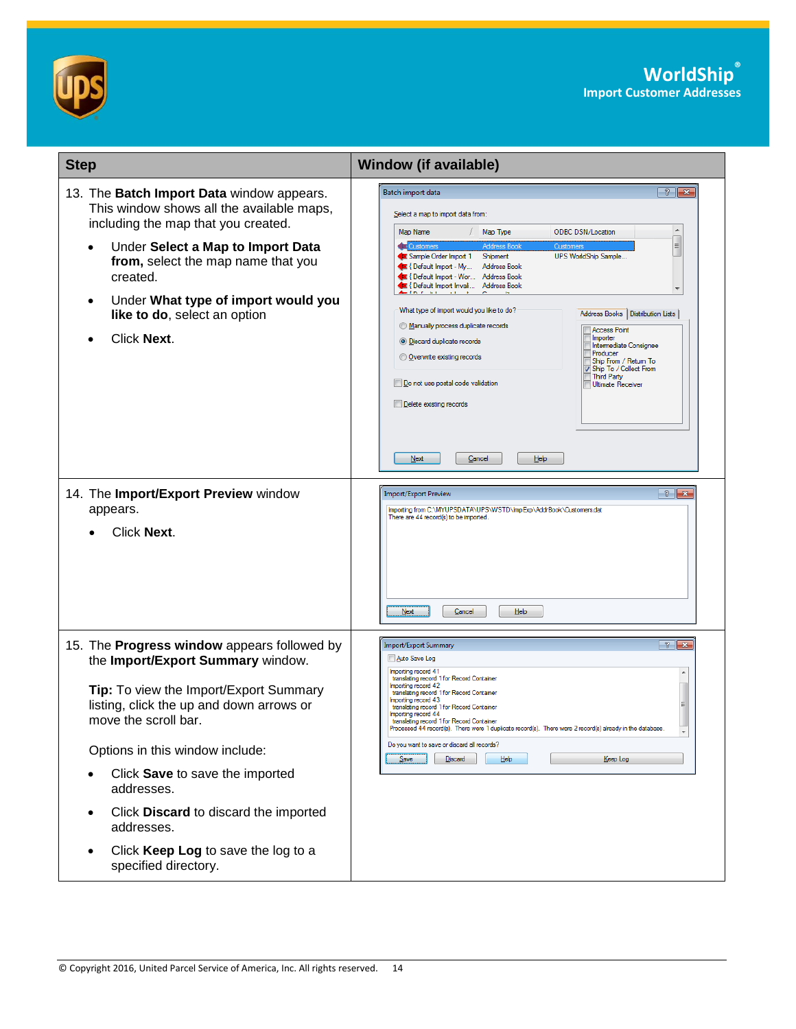



| <b>Step</b>                                                                                                                                                                                                                                                                                                                                                                                                           | <b>Window (if available)</b>                                                                                                                                                                                                                                                                                                                                                                                                                                                                                                                                                                                                                                                                                                                                                                                                                                                                                       |  |  |
|-----------------------------------------------------------------------------------------------------------------------------------------------------------------------------------------------------------------------------------------------------------------------------------------------------------------------------------------------------------------------------------------------------------------------|--------------------------------------------------------------------------------------------------------------------------------------------------------------------------------------------------------------------------------------------------------------------------------------------------------------------------------------------------------------------------------------------------------------------------------------------------------------------------------------------------------------------------------------------------------------------------------------------------------------------------------------------------------------------------------------------------------------------------------------------------------------------------------------------------------------------------------------------------------------------------------------------------------------------|--|--|
| 13. The Batch Import Data window appears.<br>This window shows all the available maps,<br>including the map that you created.<br>Under Select a Map to Import Data<br>$\bullet$<br>from, select the map name that you<br>created.<br>Under What type of import would you<br>$\bullet$<br>like to do, select an option<br>Click Next.                                                                                  | $\frac{2}{3}$ $\mathbf{x}$<br>Batch import data<br>Select a map to import data from:<br>Map Name<br>/ Map Type<br><b>ODBC DSN/Location</b><br>E<br><b>Customers</b><br><b>Address Book</b><br>Customers<br>Sample Order Import 1<br>UPS WorldShip Sample<br>Shipment<br><b>Default Import - My</b><br>Address Book<br><b>Default Import - Wor Address Book</b><br>C { Default Import Invali Address Book<br>Time in the C<br>$\rightarrow$ 1<br>What type of import would you like to do?<br>Address Books<br>Distribution Lists<br>Manually process duplicate records<br><b>Access Point</b><br>Importer<br><b>O</b> Discard duplicate records<br>Intermediate Consignee<br>Producer<br>Overwrite existing records<br>Ship From / Return To<br>Ship To / Collect From<br><b>Third Party</b><br>Do not use postal code validation<br><b>Ultimate Receiver</b><br>Delete existing records<br>Next<br>Help<br>Cancel |  |  |
| 14. The Import/Export Preview window<br>appears.<br>Click Next.                                                                                                                                                                                                                                                                                                                                                       | $\frac{3}{8}$ $\frac{8}{8}$<br>Import/Export Preview<br>Importing from C:\MYUPSDATA\UPS\WSTD\ImpExp\AddrBook\Customers.dat<br>There are 44 record(s) to be imported.<br>Next<br>Cancel<br>Help                                                                                                                                                                                                                                                                                                                                                                                                                                                                                                                                                                                                                                                                                                                     |  |  |
| 15. The Progress window appears followed by<br>the Import/Export Summary window.<br>Tip: To view the Import/Export Summary<br>listing, click the up and down arrows or<br>move the scroll bar.<br>Options in this window include:<br>Click Save to save the imported<br>addresses.<br>Click Discard to discard the imported<br>$\bullet$<br>addresses.<br>Click Keep Log to save the log to a<br>specified directory. | $\left  \mathbf{r} \right $ $\left  \mathbf{r} \right $<br><b>Import/Export Summary</b><br>Auto Save Log<br>Importing record 41<br>translating record 1 for Record Container<br>Importing record 42<br>translating record 1 for Record Container<br>Importing record 43<br>translating record 1 for Record Container<br>Importing record 44<br>translating record 1 for Record Container<br>rocessed 44 record(s). There were 1 duplicate record(s). There were 2 record(s) already in the database<br>$\overline{\phantom{a}}$<br>Do you want to save or discard all records?<br>Discard<br>Help<br>Keep Log<br>$S$ ave                                                                                                                                                                                                                                                                                           |  |  |